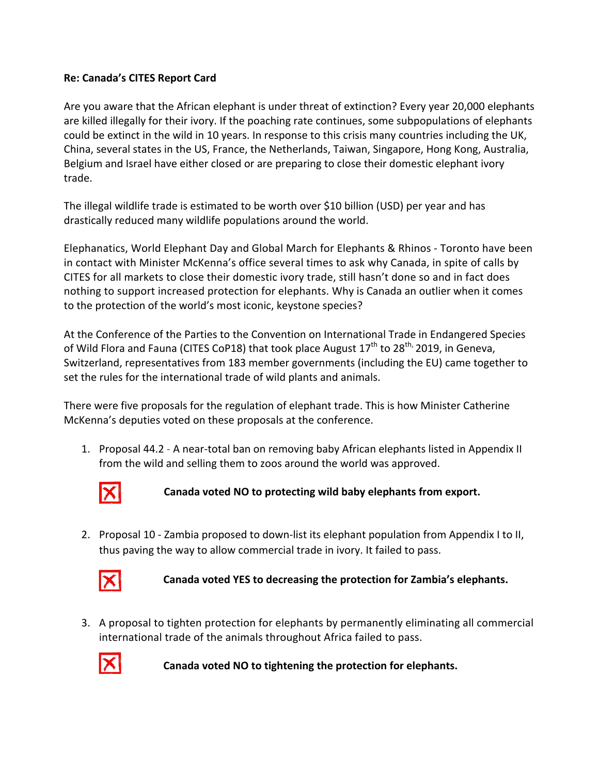## **Re: Canada's CITES Report Card**

Are you aware that the African elephant is under threat of extinction? Every year 20,000 elephants are killed illegally for their ivory. If the poaching rate continues, some subpopulations of elephants could be extinct in the wild in 10 years. In response to this crisis many countries including the UK, China, several states in the US, France, the Netherlands, Taiwan, Singapore, Hong Kong, Australia, Belgium and Israel have either closed or are preparing to close their domestic elephant ivory trade.

The illegal wildlife trade is estimated to be worth over \$10 billion (USD) per year and has drastically reduced many wildlife populations around the world.

Elephanatics, World Elephant Day and Global March for Elephants & Rhinos - Toronto have been in contact with Minister McKenna's office several times to ask why Canada, in spite of calls by CITES for all markets to close their domestic ivory trade, still hasn't done so and in fact does nothing to support increased protection for elephants. Why is Canada an outlier when it comes to the protection of the world's most iconic, keystone species?

At the Conference of the Parties to the Convention on International Trade in Endangered Species of Wild Flora and Fauna (CITES CoP18) that took place August  $17^{th}$  to  $28^{th}$ , 2019, in Geneva, Switzerland, representatives from 183 member governments (including the EU) came together to set the rules for the international trade of wild plants and animals.

There were five proposals for the regulation of elephant trade. This is how Minister Catherine McKenna's deputies voted on these proposals at the conference.

1. Proposal 44.2 - A near-total ban on removing baby African elephants listed in Appendix II from the wild and selling them to zoos around the world was approved.



Canada voted NO to protecting wild baby elephants from export.

2. Proposal 10 - Zambia proposed to down-list its elephant population from Appendix I to II, thus paving the way to allow commercial trade in ivory. It failed to pass.



Canada voted YES to decreasing the protection for Zambia's elephants.

3. A proposal to tighten protection for elephants by permanently eliminating all commercial international trade of the animals throughout Africa failed to pass.



Canada voted NO to tightening the protection for elephants.